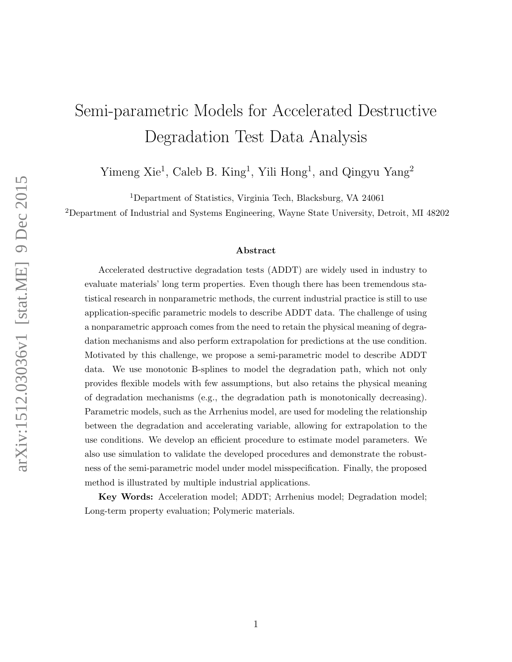# Semi-parametric Models for Accelerated Destructive Degradation Test Data Analysis

Yimeng Xie<sup>1</sup>, Caleb B. King<sup>1</sup>, Yili Hong<sup>1</sup>, and Qingyu Yang<sup>2</sup>

<sup>1</sup>Department of Statistics, Virginia Tech, Blacksburg, VA 24061

<sup>2</sup>Department of Industrial and Systems Engineering, Wayne State University, Detroit, MI 48202

#### Abstract

Accelerated destructive degradation tests (ADDT) are widely used in industry to evaluate materials' long term properties. Even though there has been tremendous statistical research in nonparametric methods, the current industrial practice is still to use application-specific parametric models to describe ADDT data. The challenge of using a nonparametric approach comes from the need to retain the physical meaning of degradation mechanisms and also perform extrapolation for predictions at the use condition. Motivated by this challenge, we propose a semi-parametric model to describe ADDT data. We use monotonic B-splines to model the degradation path, which not only provides flexible models with few assumptions, but also retains the physical meaning of degradation mechanisms (e.g., the degradation path is monotonically decreasing). Parametric models, such as the Arrhenius model, are used for modeling the relationship between the degradation and accelerating variable, allowing for extrapolation to the use conditions. We develop an efficient procedure to estimate model parameters. We also use simulation to validate the developed procedures and demonstrate the robustness of the semi-parametric model under model misspecification. Finally, the proposed method is illustrated by multiple industrial applications.

Key Words: Acceleration model; ADDT; Arrhenius model; Degradation model; Long-term property evaluation; Polymeric materials.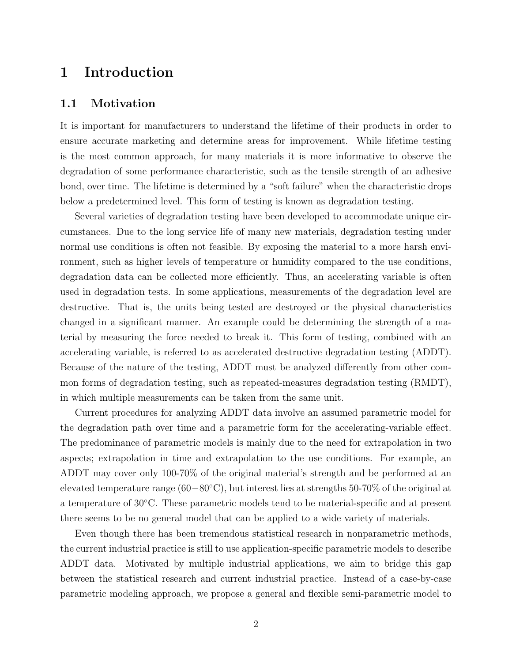# 1 Introduction

### 1.1 Motivation

It is important for manufacturers to understand the lifetime of their products in order to ensure accurate marketing and determine areas for improvement. While lifetime testing is the most common approach, for many materials it is more informative to observe the degradation of some performance characteristic, such as the tensile strength of an adhesive bond, over time. The lifetime is determined by a "soft failure" when the characteristic drops below a predetermined level. This form of testing is known as degradation testing.

Several varieties of degradation testing have been developed to accommodate unique circumstances. Due to the long service life of many new materials, degradation testing under normal use conditions is often not feasible. By exposing the material to a more harsh environment, such as higher levels of temperature or humidity compared to the use conditions, degradation data can be collected more efficiently. Thus, an accelerating variable is often used in degradation tests. In some applications, measurements of the degradation level are destructive. That is, the units being tested are destroyed or the physical characteristics changed in a significant manner. An example could be determining the strength of a material by measuring the force needed to break it. This form of testing, combined with an accelerating variable, is referred to as accelerated destructive degradation testing (ADDT). Because of the nature of the testing, ADDT must be analyzed differently from other common forms of degradation testing, such as repeated-measures degradation testing (RMDT), in which multiple measurements can be taken from the same unit.

Current procedures for analyzing ADDT data involve an assumed parametric model for the degradation path over time and a parametric form for the accelerating-variable effect. The predominance of parametric models is mainly due to the need for extrapolation in two aspects; extrapolation in time and extrapolation to the use conditions. For example, an ADDT may cover only 100-70% of the original material's strength and be performed at an elevated temperature range (60−80◦C), but interest lies at strengths 50-70% of the original at a temperature of 30◦C. These parametric models tend to be material-specific and at present there seems to be no general model that can be applied to a wide variety of materials.

Even though there has been tremendous statistical research in nonparametric methods, the current industrial practice is still to use application-specific parametric models to describe ADDT data. Motivated by multiple industrial applications, we aim to bridge this gap between the statistical research and current industrial practice. Instead of a case-by-case parametric modeling approach, we propose a general and flexible semi-parametric model to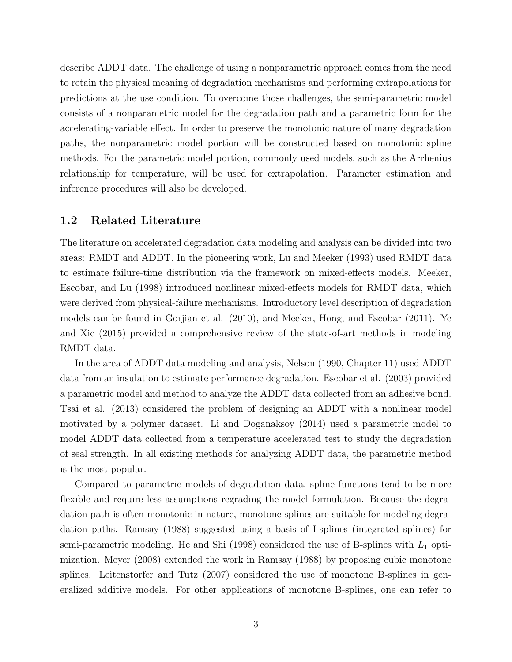describe ADDT data. The challenge of using a nonparametric approach comes from the need to retain the physical meaning of degradation mechanisms and performing extrapolations for predictions at the use condition. To overcome those challenges, the semi-parametric model consists of a nonparametric model for the degradation path and a parametric form for the accelerating-variable effect. In order to preserve the monotonic nature of many degradation paths, the nonparametric model portion will be constructed based on monotonic spline methods. For the parametric model portion, commonly used models, such as the Arrhenius relationship for temperature, will be used for extrapolation. Parameter estimation and inference procedures will also be developed.

#### 1.2 Related Literature

The literature on accelerated degradation data modeling and analysis can be divided into two areas: RMDT and ADDT. In the pioneering work, Lu and Meeker (1993) used RMDT data to estimate failure-time distribution via the framework on mixed-effects models. Meeker, Escobar, and Lu (1998) introduced nonlinear mixed-effects models for RMDT data, which were derived from physical-failure mechanisms. Introductory level description of degradation models can be found in Gorjian et al. (2010), and Meeker, Hong, and Escobar (2011). Ye and Xie (2015) provided a comprehensive review of the state-of-art methods in modeling RMDT data.

In the area of ADDT data modeling and analysis, Nelson (1990, Chapter 11) used ADDT data from an insulation to estimate performance degradation. Escobar et al. (2003) provided a parametric model and method to analyze the ADDT data collected from an adhesive bond. Tsai et al. (2013) considered the problem of designing an ADDT with a nonlinear model motivated by a polymer dataset. Li and Doganaksoy (2014) used a parametric model to model ADDT data collected from a temperature accelerated test to study the degradation of seal strength. In all existing methods for analyzing ADDT data, the parametric method is the most popular.

Compared to parametric models of degradation data, spline functions tend to be more flexible and require less assumptions regrading the model formulation. Because the degradation path is often monotonic in nature, monotone splines are suitable for modeling degradation paths. Ramsay (1988) suggested using a basis of I-splines (integrated splines) for semi-parametric modeling. He and Shi (1998) considered the use of B-splines with  $L_1$  optimization. Meyer (2008) extended the work in Ramsay (1988) by proposing cubic monotone splines. Leitenstorfer and Tutz (2007) considered the use of monotone B-splines in generalized additive models. For other applications of monotone B-splines, one can refer to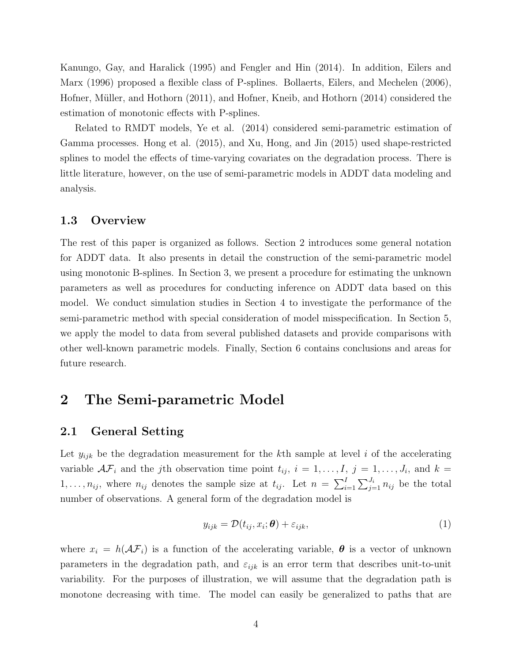Kanungo, Gay, and Haralick (1995) and Fengler and Hin (2014). In addition, Eilers and Marx (1996) proposed a flexible class of P-splines. Bollaerts, Eilers, and Mechelen (2006), Hofner, Müller, and Hothorn (2011), and Hofner, Kneib, and Hothorn (2014) considered the estimation of monotonic effects with P-splines.

Related to RMDT models, Ye et al. (2014) considered semi-parametric estimation of Gamma processes. Hong et al. (2015), and Xu, Hong, and Jin (2015) used shape-restricted splines to model the effects of time-varying covariates on the degradation process. There is little literature, however, on the use of semi-parametric models in ADDT data modeling and analysis.

#### 1.3 Overview

The rest of this paper is organized as follows. Section 2 introduces some general notation for ADDT data. It also presents in detail the construction of the semi-parametric model using monotonic B-splines. In Section 3, we present a procedure for estimating the unknown parameters as well as procedures for conducting inference on ADDT data based on this model. We conduct simulation studies in Section 4 to investigate the performance of the semi-parametric method with special consideration of model misspecification. In Section 5, we apply the model to data from several published datasets and provide comparisons with other well-known parametric models. Finally, Section 6 contains conclusions and areas for future research.

# 2 The Semi-parametric Model

## 2.1 General Setting

Let  $y_{ijk}$  be the degradation measurement for the kth sample at level i of the accelerating variable  $\mathcal{AF}_i$  and the j<sup>th</sup> observation time point  $t_{ij}$ ,  $i = 1, \ldots, I$ ,  $j = 1, \ldots, J_i$ , and  $k =$  $1, \ldots, n_{ij}$ , where  $n_{ij}$  denotes the sample size at  $t_{ij}$ . Let  $n = \sum_{i=1}^{I} \sum_{j=1}^{J_i} n_{ij}$  be the total number of observations. A general form of the degradation model is

$$
y_{ijk} = \mathcal{D}(t_{ij}, x_i; \boldsymbol{\theta}) + \varepsilon_{ijk},
$$
\n(1)

where  $x_i = h(\mathcal{AF}_i)$  is a function of the accelerating variable,  $\boldsymbol{\theta}$  is a vector of unknown parameters in the degradation path, and  $\varepsilon_{ijk}$  is an error term that describes unit-to-unit variability. For the purposes of illustration, we will assume that the degradation path is monotone decreasing with time. The model can easily be generalized to paths that are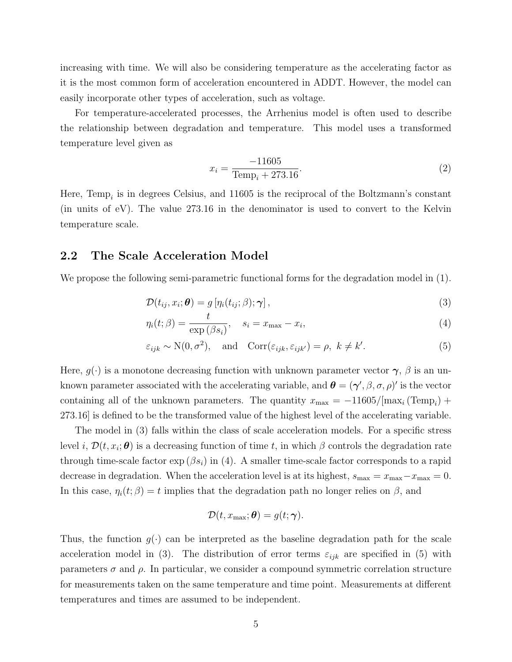increasing with time. We will also be considering temperature as the accelerating factor as it is the most common form of acceleration encountered in ADDT. However, the model can easily incorporate other types of acceleration, such as voltage.

For temperature-accelerated processes, the Arrhenius model is often used to describe the relationship between degradation and temperature. This model uses a transformed temperature level given as

$$
x_i = \frac{-11605}{\text{Temp}_i + 273.16}.\tag{2}
$$

Here,  $Temp_i$  is in degrees Celsius, and 11605 is the reciprocal of the Boltzmann's constant (in units of eV). The value 273.16 in the denominator is used to convert to the Kelvin temperature scale.

#### 2.2 The Scale Acceleration Model

We propose the following semi-parametric functional forms for the degradation model in (1).

$$
\mathcal{D}(t_{ij}, x_i; \boldsymbol{\theta}) = g \left[ \eta_i(t_{ij}; \beta); \boldsymbol{\gamma} \right], \tag{3}
$$

$$
\eta_i(t; \beta) = \frac{t}{\exp(\beta s_i)}, \quad s_i = x_{\max} - x_i,
$$
\n(4)

$$
\varepsilon_{ijk} \sim \mathcal{N}(0, \sigma^2)
$$
, and  $\operatorname{Corr}(\varepsilon_{ijk}, \varepsilon_{ijk'}) = \rho, \ k \neq k'.$  (5)

Here,  $g(\cdot)$  is a monotone decreasing function with unknown parameter vector  $\gamma$ ,  $\beta$  is an unknown parameter associated with the accelerating variable, and  $\boldsymbol{\theta} = (\boldsymbol{\gamma}', \beta, \sigma, \rho)'$  is the vector containing all of the unknown parameters. The quantity  $x_{\text{max}} = -11605/[\text{max}_i (\text{Temp}_i) +$ 273.16] is defined to be the transformed value of the highest level of the accelerating variable.

The model in (3) falls within the class of scale acceleration models. For a specific stress level *i*,  $\mathcal{D}(t, x_i; \theta)$  is a decreasing function of time *t*, in which  $\beta$  controls the degradation rate through time-scale factor  $\exp(\beta s_i)$  in (4). A smaller time-scale factor corresponds to a rapid decrease in degradation. When the acceleration level is at its highest,  $s_{\text{max}} = x_{\text{max}} - x_{\text{max}} = 0$ . In this case,  $\eta_i(t;\beta) = t$  implies that the degradation path no longer relies on  $\beta$ , and

$$
\mathcal{D}(t, x_{\max}; \boldsymbol{\theta}) = g(t; \boldsymbol{\gamma}).
$$

Thus, the function  $g(\cdot)$  can be interpreted as the baseline degradation path for the scale acceleration model in (3). The distribution of error terms  $\varepsilon_{ijk}$  are specified in (5) with parameters  $\sigma$  and  $\rho$ . In particular, we consider a compound symmetric correlation structure for measurements taken on the same temperature and time point. Measurements at different temperatures and times are assumed to be independent.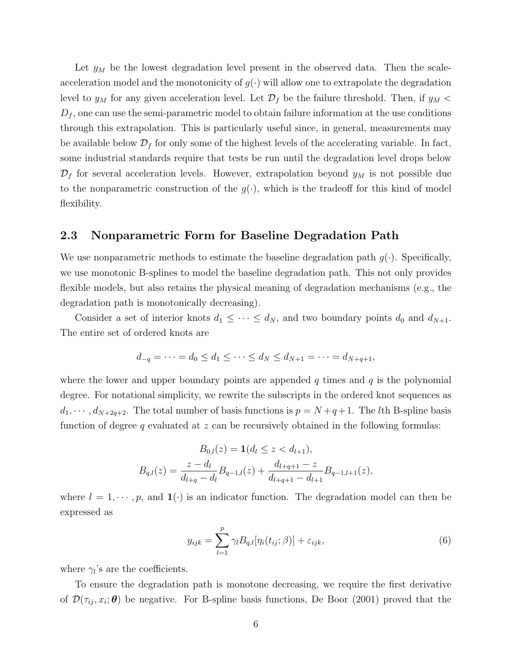Let  $y_M$  be the lowest degradation level present in the observed data. Then the scaleacceleration model and the monotonicity of  $g(\cdot)$  will allow one to extrapolate the degradation level to  $y_M$  for any given acceleration level. Let  $\mathcal{D}_f$  be the failure threshold. Then, if  $y_M$  <  $D_f$ , one can use the semi-parametric model to obtain failure information at the use conditions through this extrapolation. This is particularly useful since, in general, measurements may be available below  $\mathcal{D}_f$  for only some of the highest levels of the accelerating variable. In fact, some industrial standards require that tests be run until the degradation level drops below  $\mathcal{D}_f$  for several acceleration levels. However, extrapolation beyond  $y_M$  is not possible due to the nonparametric construction of the  $g(\cdot)$ , which is the tradeoff for this kind of model flexibility.

## 2.3 Nonparametric Form for Baseline Degradation Path

We use nonparametric methods to estimate the baseline degradation path  $g(\cdot)$ . Specifically, we use monotonic B-splines to model the baseline degradation path. This not only provides flexible models, but also retains the physical meaning of degradation mechanisms (e.g., the degradation path is monotonically decreasing).

Consider a set of interior knots  $d_1 \leq \cdots \leq d_N$ , and two boundary points  $d_0$  and  $d_{N+1}$ . The entire set of ordered knots are

$$
d_{-q} = \cdots = d_0 \leq d_1 \leq \cdots \leq d_N \leq d_{N+1} = \cdots = d_{N+q+1},
$$

where the lower and upper boundary points are appended  $q$  times and  $q$  is the polynomial degree. For notational simplicity, we rewrite the subscripts in the ordered knot sequences as  $d_1, \dots, d_{N+2q+2}$ . The total number of basis functions is  $p = N+q+1$ . The *l*th B-spline basis function of degree q evaluated at  $z$  can be recursively obtained in the following formulas:

$$
B_{0,l}(z) = \mathbf{1}(d_l \le z < d_{l+1}),
$$
  
\n
$$
B_{q,l}(z) = \frac{z - d_l}{d_{l+q} - d_l} B_{q-1,l}(z) + \frac{d_{l+q+1} - z}{d_{l+q+1} - d_{l+1}} B_{q-1,l+1}(z),
$$

where  $l = 1, \dots, p$ , and  $\mathbf{1}(\cdot)$  is an indicator function. The degradation model can then be expressed as

$$
y_{ijk} = \sum_{l=1}^{p} \gamma_l B_{q,l} [\eta_i(t_{ij}; \beta)] + \varepsilon_{ijk}, \qquad (6)
$$

where  $\gamma_l$ 's are the coefficients.

To ensure the degradation path is monotone decreasing, we require the first derivative of  $\mathcal{D}(\tau_{ij}, x_i; \theta)$  be negative. For B-spline basis functions, De Boor (2001) proved that the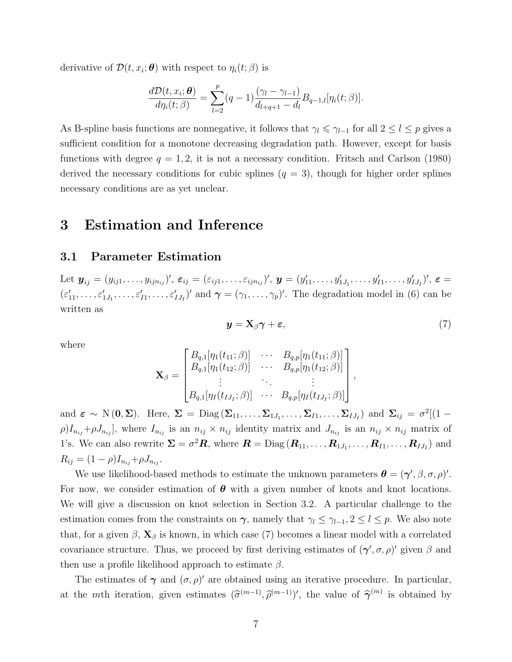derivative of  $\mathcal{D}(t, x_i; \theta)$  with respect to  $\eta_i(t; \beta)$  is

$$
\frac{d\mathcal{D}(t,x_i;\boldsymbol{\theta})}{d\eta_i(t;\beta)} = \sum_{l=2}^p (q-1) \frac{(\gamma_l - \gamma_{l-1})}{d_{l+q+1} - d_l} B_{q-1,l}[\eta_i(t;\beta)].
$$

As B-spline basis functions are nonnegative, it follows that  $\gamma_l \leq \gamma_{l-1}$  for all  $2 \leq l \leq p$  gives a sufficient condition for a monotone decreasing degradation path. However, except for basis functions with degree  $q = 1, 2$ , it is not a necessary condition. Fritsch and Carlson (1980) derived the necessary conditions for cubic splines  $(q = 3)$ , though for higher order splines necessary conditions are as yet unclear.

## 3 Estimation and Inference

### 3.1 Parameter Estimation

Let  $\bm{y}_{ij} = (y_{ij1}, \ldots, y_{ijn_{ij}})'$ ,  $\varepsilon_{ij} = (\varepsilon_{ij1}, \ldots, \varepsilon_{ijn_{ij}})'$ ,  $\bm{y} = (y'_{11}, \ldots, y'_{1J_1}, \ldots, y'_{I1}, \ldots, y'_{IJ_I})'$ ,  $\varepsilon =$  $(\varepsilon'_{11},\ldots,\varepsilon'_{1J_1},\ldots,\varepsilon'_{IJ_1},\ldots,\varepsilon'_{IJ_J})'$  and  $\boldsymbol{\gamma}=(\gamma_1,\ldots,\gamma_p)'$ . The degradation model in (6) can be written as

$$
\mathbf{y} = \mathbf{X}_{\beta} \boldsymbol{\gamma} + \boldsymbol{\varepsilon},\tag{7}
$$

where

$$
\mathbf{X}_{\beta} = \begin{bmatrix} B_{q,1}[\eta_1(t_{11}; \beta)] & \cdots & B_{q,p}[\eta_1(t_{11}; \beta)] \\ B_{q,1}[\eta_1(t_{12}; \beta)] & \cdots & B_{q,p}[\eta_1(t_{12}; \beta)] \\ \vdots & \ddots & \vdots \\ B_{q,1}[\eta_I(t_{IJ_I}; \beta)] & \cdots & B_{q,p}[\eta_I(t_{IJ_I}; \beta)] \end{bmatrix},
$$

and  $\varepsilon \sim N(0, \Sigma)$ . Here,  $\Sigma = \text{Diag}(\Sigma_{11}, \dots, \Sigma_{1J_1}, \dots, \Sigma_{I1}, \dots, \Sigma_{IJ_I})$  and  $\Sigma_{ij} = \sigma^2[(1 - \Sigma_{ij} + \Sigma_{ij} + \Sigma_{ij}]$  $\rho I_{n_{ij}}+\rho J_{n_{ij}}$ , where  $I_{n_{ij}}$  is an  $n_{ij}\times n_{ij}$  identity matrix and  $J_{n_{ij}}$  is an  $n_{ij}\times n_{ij}$  matrix of 1's. We can also rewrite  $\Sigma = \sigma^2 R$ , where  $R = \text{Diag}(R_{11}, \ldots, R_{1J_1}, \ldots, R_{I1}, \ldots, R_{IJ_I})$  and  $R_{ij} = (1 - \rho)I_{n_{ij}} + \rho J_{n_{ij}}.$ 

We use likelihood-based methods to estimate the unknown parameters  $\boldsymbol{\theta} = (\boldsymbol{\gamma}', \beta, \sigma, \rho)'$ . For now, we consider estimation of  $\theta$  with a given number of knots and knot locations. We will give a discussion on knot selection in Section 3.2. A particular challenge to the estimation comes from the constraints on  $\gamma$ , namely that  $\gamma_l \leq \gamma_{l-1}, 2 \leq l \leq p$ . We also note that, for a given  $\beta$ ,  $\mathbf{X}_{\beta}$  is known, in which case (7) becomes a linear model with a correlated covariance structure. Thus, we proceed by first deriving estimates of  $(\gamma', \sigma, \rho)'$  given  $\beta$  and then use a profile likelihood approach to estimate  $\beta$ .

The estimates of  $\gamma$  and  $(\sigma, \rho)'$  are obtained using an iterative procedure. In particular, at the *m*th iteration, given estimates  $(\hat{\sigma}^{(m-1)}, \hat{\rho}^{(m-1)})'$ , the value of  $\hat{\gamma}^{(m)}$  is obtained by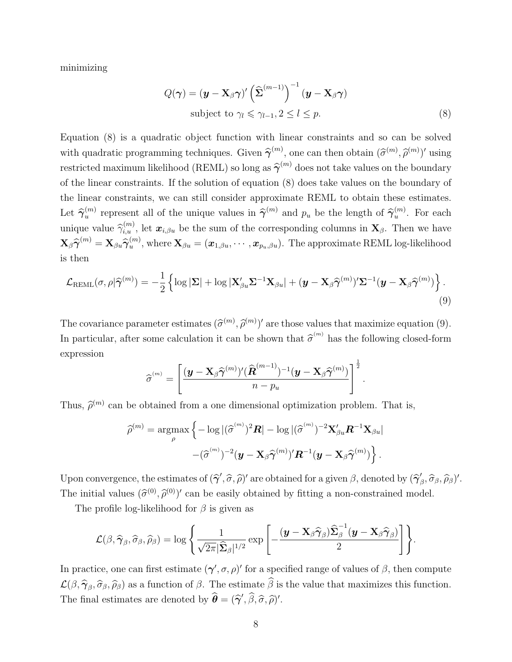minimizing

$$
Q(\boldsymbol{\gamma}) = (\boldsymbol{y} - \mathbf{X}_{\beta} \boldsymbol{\gamma})' \left(\widehat{\boldsymbol{\Sigma}}^{(m-1)}\right)^{-1} (\boldsymbol{y} - \mathbf{X}_{\beta} \boldsymbol{\gamma})
$$
  
subject to  $\gamma_l \leq \gamma_{l-1}, 2 \leq l \leq p$ . (8)

Equation (8) is a quadratic object function with linear constraints and so can be solved with quadratic programming techniques. Given  $\hat{\gamma}^{(m)}$ , one can then obtain  $(\hat{\sigma}^{(m)}, \hat{\rho}^{(m)})'$  using restricted maximum likelihood (REML) so long as  $\hat{\gamma}^{(m)}$  does not take values on the boundary of the linear constraints. If the solution of equation (8) does take values on the boundary of the linear constraints, we can still consider approximate REML to obtain these estimates. Let  $\widehat{\gamma}_u^{(m)}$  $u_{u}^{(m)}$  represent all of the unique values in  $\hat{\gamma}^{(m)}$  and  $p_u$  be the length of  $\hat{\gamma}_u^{(m)}$  $\binom{m}{u}$ . For each unique value  $\hat{\gamma}_{i,u}^{(m)}$ , let  $\mathbf{x}_{i,\beta u}$  be the sum of the corresponding columns in  $\mathbf{X}_{\beta}$ . Then we have  $\mathbf{X}_{\beta} \widehat{\boldsymbol{\gamma}}^{(m)} = \mathbf{X}_{\beta u} \widehat{\boldsymbol{\gamma}}^{(m)}_u$  $u^{(m)}_u$ , where  $\mathbf{X}_{\beta u}=(\bm{x}_{1,\beta u},\cdots,\bm{x}_{p_u,\beta u}).$  The approximate REML log-likelihood is then

$$
\mathcal{L}_{\text{REML}}(\sigma,\rho|\widehat{\boldsymbol{\gamma}}^{(m)}) = -\frac{1}{2} \left\{ \log |\mathbf{\Sigma}| + \log |\mathbf{X}'_{\beta u}\mathbf{\Sigma}^{-1}\mathbf{X}_{\beta u}| + (\boldsymbol{y} - \mathbf{X}_{\beta}\widehat{\boldsymbol{\gamma}}^{(m)})'\mathbf{\Sigma}^{-1}(\boldsymbol{y} - \mathbf{X}_{\beta}\widehat{\boldsymbol{\gamma}}^{(m)}) \right\}.
$$
\n(9)

The covariance parameter estimates  $(\hat{\sigma}^{(m)}, \hat{\rho}^{(m)})'$  are those values that maximize equation (9). In particular, after some calculation it can be shown that  $\hat{\sigma}^{(m)}$  has the following closed-form expression

$$
\widehat{\sigma}^{^{(m)}} = \left[\frac{(\boldsymbol{y} - \mathbf{X}_\beta\widehat{\boldsymbol{\gamma}}^{(m)})'(\widehat{\boldsymbol{R}}^{(m-1)})^{-1}(\boldsymbol{y} - \mathbf{X}_\beta\widehat{\boldsymbol{\gamma}}^{(m)})}{n-p_u}\right]^{\frac{1}{2}}
$$

.

Thus,  $\hat{\rho}^{(m)}$  can be obtained from a one dimensional optimization problem. That is,

$$
\widehat{\rho}^{(m)} = \operatorname*{argmax}_{\rho} \left\{-\log|(\widehat{\sigma}^{(m)})^2 \boldsymbol{R}| - \log|(\widehat{\sigma}^{(m)})^{-2} \mathbf{X}_{\beta u}' \boldsymbol{R}^{-1} \mathbf{X}_{\beta u}| - (\widehat{\sigma}^{(m)})^{-2} (\boldsymbol{y} - \mathbf{X}_{\beta} \widehat{\boldsymbol{\gamma}}^{(m)})' \boldsymbol{R}^{-1} (\boldsymbol{y} - \mathbf{X}_{\beta} \widehat{\boldsymbol{\gamma}}^{(m)}) \right\}.
$$

Upon convergence, the estimates of  $(\hat{\gamma}', \hat{\sigma}, \hat{\rho})'$  are obtained for a given  $\beta$ , denoted by  $(\hat{\gamma}'$  $\int_{\beta}^{\prime}$ ,  $\widehat{\sigma}_{\beta}$ ,  $\widehat{\rho}_{\beta}$ )'. The initial values  $(\hat{\sigma}^{(0)}, \hat{\rho}^{(0)})'$  can be easily obtained by fitting a non-constrained model.

The profile log-likelihood for  $\beta$  is given as

$$
\mathcal{L}(\beta, \widehat{\boldsymbol{\gamma}}_{\beta}, \widehat{\sigma}_{\beta}, \widehat{\rho}_{\beta}) = \log \Bigg\{ \frac{1}{\sqrt{2\pi}|\widehat{\boldsymbol{\Sigma}}_{\beta}|^{1/2}} \exp \Bigg[ -\frac{(\boldsymbol{y} - \mathbf{X}_{\beta}\widehat{\boldsymbol{\gamma}}_{\beta})\widehat{\boldsymbol{\Sigma}}_{\beta}^{-1}(\boldsymbol{y} - \mathbf{X}_{\beta}\widehat{\boldsymbol{\gamma}}_{\beta})}{2} \Bigg] \Bigg\}.
$$

In practice, one can first estimate  $(\gamma', \sigma, \rho)'$  for a specified range of values of  $\beta$ , then compute  $\mathcal{L}(\beta, \widehat{\gamma}_{\beta}, \widehat{\sigma}_{\beta}, \widehat{\rho}_{\beta})$  as a function of  $\beta$ . The estimate  $\beta$  is the value that maximizes this function. The final estimates are denoted by  $\hat{\theta} = (\hat{\gamma}', \hat{\beta}, \hat{\sigma}, \hat{\rho})'.$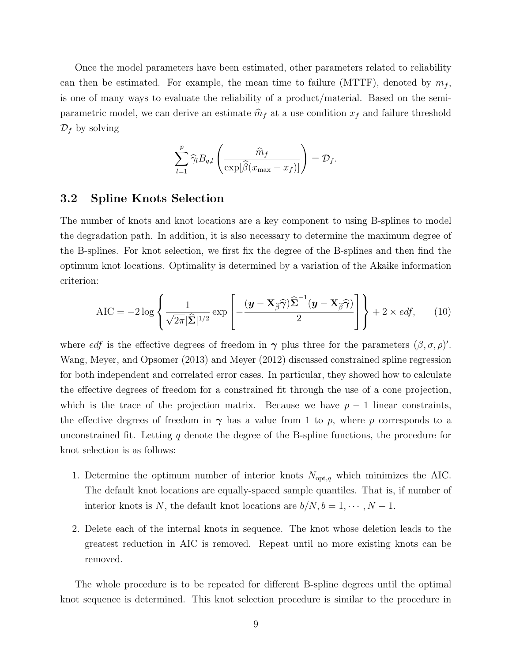Once the model parameters have been estimated, other parameters related to reliability can then be estimated. For example, the mean time to failure (MTTF), denoted by  $m_f$ , is one of many ways to evaluate the reliability of a product/material. Based on the semiparametric model, we can derive an estimate  $\widehat{m}_f$  at a use condition  $x_f$  and failure threshold  $\mathcal{D}_f$  by solving

$$
\sum_{l=1}^p \widehat{\gamma}_l B_{q,l} \left( \frac{\widehat{m}_f}{\exp[\widehat{\beta}(x_{\max} - x_f)]} \right) = \mathcal{D}_f.
$$

## 3.2 Spline Knots Selection

The number of knots and knot locations are a key component to using B-splines to model the degradation path. In addition, it is also necessary to determine the maximum degree of the B-splines. For knot selection, we first fix the degree of the B-splines and then find the optimum knot locations. Optimality is determined by a variation of the Akaike information criterion:

$$
AIC = -2\log\left\{\frac{1}{\sqrt{2\pi}|\hat{\boldsymbol{\Sigma}}|^{1/2}}\exp\left[-\frac{(\boldsymbol{y}-\mathbf{X}_{\hat{\boldsymbol{\beta}}}\hat{\boldsymbol{\gamma}})\hat{\boldsymbol{\Sigma}}^{-1}(\boldsymbol{y}-\mathbf{X}_{\hat{\boldsymbol{\beta}}}\hat{\boldsymbol{\gamma}})}{2}\right]\right\} + 2 \times \text{edf},\qquad(10)
$$

where *edf* is the effective degrees of freedom in  $\gamma$  plus three for the parameters  $(\beta, \sigma, \rho)'$ . Wang, Meyer, and Opsomer (2013) and Meyer (2012) discussed constrained spline regression for both independent and correlated error cases. In particular, they showed how to calculate the effective degrees of freedom for a constrained fit through the use of a cone projection, which is the trace of the projection matrix. Because we have  $p-1$  linear constraints, the effective degrees of freedom in  $\gamma$  has a value from 1 to p, where p corresponds to a unconstrained fit. Letting  $q$  denote the degree of the B-spline functions, the procedure for knot selection is as follows:

- 1. Determine the optimum number of interior knots  $N_{opt,q}$  which minimizes the AIC. The default knot locations are equally-spaced sample quantiles. That is, if number of interior knots is N, the default knot locations are  $b/N$ ,  $b = 1, \dots, N - 1$ .
- 2. Delete each of the internal knots in sequence. The knot whose deletion leads to the greatest reduction in AIC is removed. Repeat until no more existing knots can be removed.

The whole procedure is to be repeated for different B-spline degrees until the optimal knot sequence is determined. This knot selection procedure is similar to the procedure in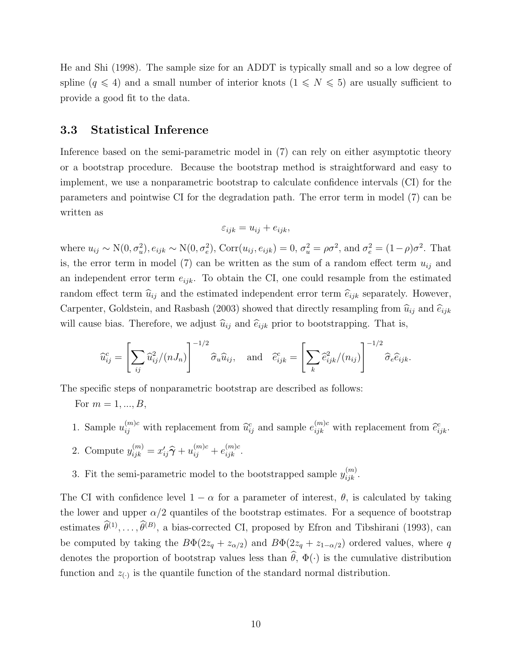He and Shi (1998). The sample size for an ADDT is typically small and so a low degree of spline  $(q \leq 4)$  and a small number of interior knots  $(1 \leq N \leq 5)$  are usually sufficient to provide a good fit to the data.

## 3.3 Statistical Inference

Inference based on the semi-parametric model in (7) can rely on either asymptotic theory or a bootstrap procedure. Because the bootstrap method is straightforward and easy to implement, we use a nonparametric bootstrap to calculate confidence intervals (CI) for the parameters and pointwise CI for the degradation path. The error term in model (7) can be written as

$$
\varepsilon_{ijk} = u_{ij} + e_{ijk},
$$

where  $u_{ij} \sim N(0, \sigma_u^2)$ ,  $e_{ijk} \sim N(0, \sigma_e^2)$ ,  $Corr(u_{ij}, e_{ijk}) = 0$ ,  $\sigma_u^2 = \rho \sigma^2$ , and  $\sigma_e^2 = (1 - \rho)\sigma^2$ . That is, the error term in model (7) can be written as the sum of a random effect term  $u_{ij}$  and an independent error term  $e_{ijk}$ . To obtain the CI, one could resample from the estimated random effect term  $\hat{u}_{ij}$  and the estimated independent error term  $\hat{e}_{ijk}$  separately. However, Carpenter, Goldstein, and Rasbash (2003) showed that directly resampling from  $\hat{u}_{ij}$  and  $\hat{e}_{ijk}$ will cause bias. Therefore, we adjust  $\hat{u}_{ij}$  and  $\hat{e}_{ijk}$  prior to bootstrapping. That is,

$$
\widehat{u}_{ij}^c = \left[\sum_{ij} \widehat{u}_{ij}^2/(nJ_n)\right]^{-1/2} \widehat{\sigma}_u \widehat{u}_{ij}, \text{ and } \widehat{e}_{ijk}^c = \left[\sum_k \widehat{e}_{ijk}^2/(n_{ij})\right]^{-1/2} \widehat{\sigma}_e \widehat{e}_{ijk}.
$$

The specific steps of nonparametric bootstrap are described as follows:

For  $m = 1, ..., B$ ,

- 1. Sample  $u_{ij}^{(m)c}$  with replacement from  $\hat{u}_{ij}^c$  and sample  $e_{ijk}^{(m)c}$  with replacement from  $\hat{e}_{ijk}^c$ .
- 2. Compute  $y_{ijk}^{(m)} = x_{ij}'\hat{\gamma} + u_{ij}^{(m)c} + e_{ijk}^{(m)c}$ .
- 3. Fit the semi-parametric model to the bootstrapped sample  $y_{ijk}^{(m)}$ .

The CI with confidence level  $1 - \alpha$  for a parameter of interest,  $\theta$ , is calculated by taking the lower and upper  $\alpha/2$  quantiles of the bootstrap estimates. For a sequence of bootstrap estimates  $\hat{\theta}^{(1)}, \ldots, \hat{\theta}^{(B)}$ , a bias-corrected CI, proposed by Efron and Tibshirani (1993), can be computed by taking the  $B\Phi(2z_q + z_{\alpha/2})$  and  $B\Phi(2z_q + z_{1-\alpha/2})$  ordered values, where q denotes the proportion of bootstrap values less than  $\hat{\theta}$ ,  $\Phi(\cdot)$  is the cumulative distribution function and  $z_{(.)}$  is the quantile function of the standard normal distribution.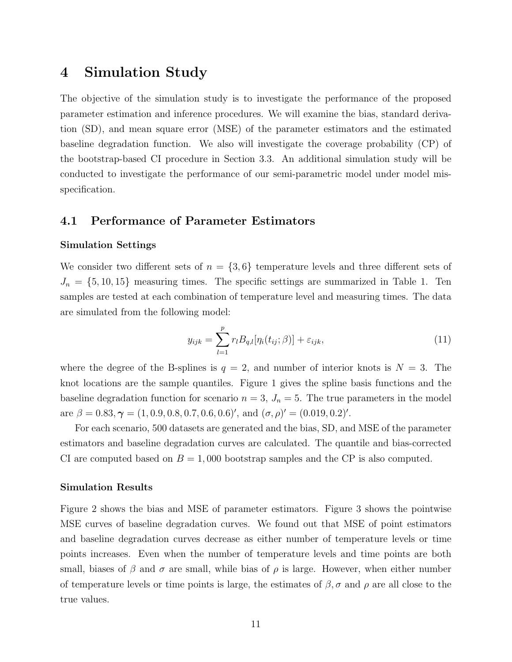# 4 Simulation Study

The objective of the simulation study is to investigate the performance of the proposed parameter estimation and inference procedures. We will examine the bias, standard derivation (SD), and mean square error (MSE) of the parameter estimators and the estimated baseline degradation function. We also will investigate the coverage probability (CP) of the bootstrap-based CI procedure in Section 3.3. An additional simulation study will be conducted to investigate the performance of our semi-parametric model under model misspecification.

## 4.1 Performance of Parameter Estimators

#### Simulation Settings

We consider two different sets of  $n = \{3, 6\}$  temperature levels and three different sets of  $J_n = \{5, 10, 15\}$  measuring times. The specific settings are summarized in Table 1. Ten samples are tested at each combination of temperature level and measuring times. The data are simulated from the following model:

$$
y_{ijk} = \sum_{l=1}^{p} r_l B_{q,l} [\eta_i(t_{ij}; \beta)] + \varepsilon_{ijk}, \qquad (11)
$$

where the degree of the B-splines is  $q = 2$ , and number of interior knots is  $N = 3$ . The knot locations are the sample quantiles. Figure 1 gives the spline basis functions and the baseline degradation function for scenario  $n = 3$ ,  $J_n = 5$ . The true parameters in the model are  $\beta = 0.83, \gamma = (1, 0.9, 0.8, 0.7, 0.6, 0.6)'$ , and  $(\sigma, \rho)' = (0.019, 0.2)'$ .

For each scenario, 500 datasets are generated and the bias, SD, and MSE of the parameter estimators and baseline degradation curves are calculated. The quantile and bias-corrected CI are computed based on  $B = 1,000$  bootstrap samples and the CP is also computed.

#### Simulation Results

Figure 2 shows the bias and MSE of parameter estimators. Figure 3 shows the pointwise MSE curves of baseline degradation curves. We found out that MSE of point estimators and baseline degradation curves decrease as either number of temperature levels or time points increases. Even when the number of temperature levels and time points are both small, biases of  $\beta$  and  $\sigma$  are small, while bias of  $\rho$  is large. However, when either number of temperature levels or time points is large, the estimates of  $\beta$ ,  $\sigma$  and  $\rho$  are all close to the true values.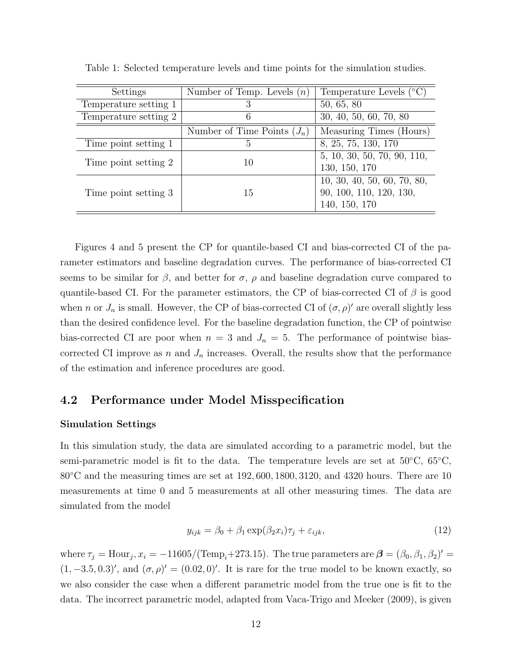| Settings              | Number of Temp. Levels $(n)$  | Temperature Levels $({}^{\circ}C)$                                      |  |  |
|-----------------------|-------------------------------|-------------------------------------------------------------------------|--|--|
| Temperature setting 1 | 3                             | 50, 65, 80                                                              |  |  |
| Temperature setting 2 | 6                             | 30, 40, 50, 60, 70, 80                                                  |  |  |
|                       | Number of Time Points $(J_n)$ | Measuring Times (Hours)                                                 |  |  |
| Time point setting 1  | 5                             | 8, 25, 75, 130, 170                                                     |  |  |
| Time point setting 2  | 10                            | 5, 10, 30, 50, 70, 90, 110,<br>130, 150, 170                            |  |  |
| Time point setting 3  | 15                            | 10, 30, 40, 50, 60, 70, 80,<br>90, 100, 110, 120, 130,<br>140, 150, 170 |  |  |

Table 1: Selected temperature levels and time points for the simulation studies.

Figures 4 and 5 present the CP for quantile-based CI and bias-corrected CI of the parameter estimators and baseline degradation curves. The performance of bias-corrected CI seems to be similar for  $\beta$ , and better for  $\sigma$ ,  $\rho$  and baseline degradation curve compared to quantile-based CI. For the parameter estimators, the CP of bias-corrected CI of  $\beta$  is good when n or  $J_n$  is small. However, the CP of bias-corrected CI of  $(\sigma, \rho)'$  are overall slightly less than the desired confidence level. For the baseline degradation function, the CP of pointwise bias-corrected CI are poor when  $n = 3$  and  $J_n = 5$ . The performance of pointwise biascorrected CI improve as n and  $J_n$  increases. Overall, the results show that the performance of the estimation and inference procedures are good.

## 4.2 Performance under Model Misspecification

#### Simulation Settings

In this simulation study, the data are simulated according to a parametric model, but the semi-parametric model is fit to the data. The temperature levels are set at  $50^{\circ}$ C,  $65^{\circ}$ C, 80<sup>°</sup>C and the measuring times are set at 192, 600, 1800, 3120, and 4320 hours. There are 10 measurements at time 0 and 5 measurements at all other measuring times. The data are simulated from the model

$$
y_{ijk} = \beta_0 + \beta_1 \exp(\beta_2 x_i)\tau_j + \varepsilon_{ijk},\tag{12}
$$

where  $\tau_j = \text{Hour}_j$ ,  $x_i = -11605/(\text{Temp}_i + 273.15)$ . The true parameters are  $\boldsymbol{\beta} = (\beta_0, \beta_1, \beta_2)' =$  $(1, -3.5, 0.3)'$ , and  $(\sigma, \rho)' = (0.02, 0)'$ . It is rare for the true model to be known exactly, so we also consider the case when a different parametric model from the true one is fit to the data. The incorrect parametric model, adapted from Vaca-Trigo and Meeker (2009), is given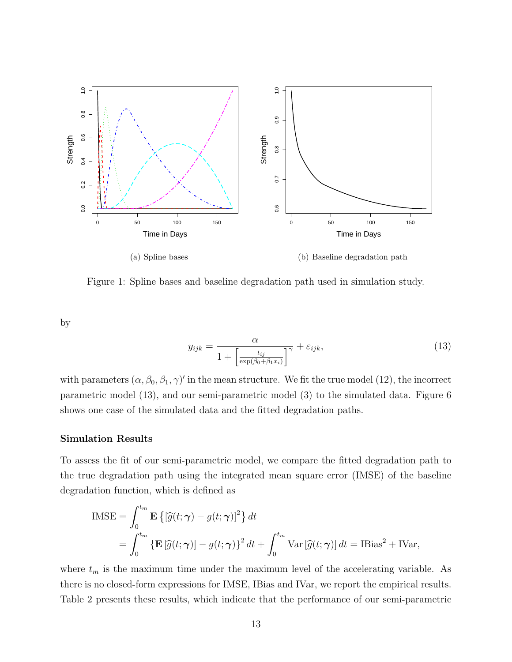

Figure 1: Spline bases and baseline degradation path used in simulation study.

by

$$
y_{ijk} = \frac{\alpha}{1 + \left[\frac{t_{ij}}{\exp(\beta_0 + \beta_1 x_i)}\right]^\gamma} + \varepsilon_{ijk},\tag{13}
$$

with parameters  $(\alpha, \beta_0, \beta_1, \gamma)'$  in the mean structure. We fit the true model (12), the incorrect parametric model (13), and our semi-parametric model (3) to the simulated data. Figure 6 shows one case of the simulated data and the fitted degradation paths.

#### Simulation Results

To assess the fit of our semi-parametric model, we compare the fitted degradation path to the true degradation path using the integrated mean square error (IMSE) of the baseline degradation function, which is defined as

$$
\begin{aligned} \text{IMSE} &= \int_0^{t_m} \mathbf{E} \left\{ \left[ \widehat{g}(t; \boldsymbol{\gamma}) - g(t; \boldsymbol{\gamma}) \right]^2 \right\} dt \\ &= \int_0^{t_m} \left\{ \mathbf{E} \left[ \widehat{g}(t; \boldsymbol{\gamma}) \right] - g(t; \boldsymbol{\gamma}) \right\}^2 dt + \int_0^{t_m} \text{Var} \left[ \widehat{g}(t; \boldsymbol{\gamma}) \right] dt = \text{IBias}^2 + \text{IVar}, \end{aligned}
$$

where  $t_m$  is the maximum time under the maximum level of the accelerating variable. As there is no closed-form expressions for IMSE, IBias and IVar, we report the empirical results. Table 2 presents these results, which indicate that the performance of our semi-parametric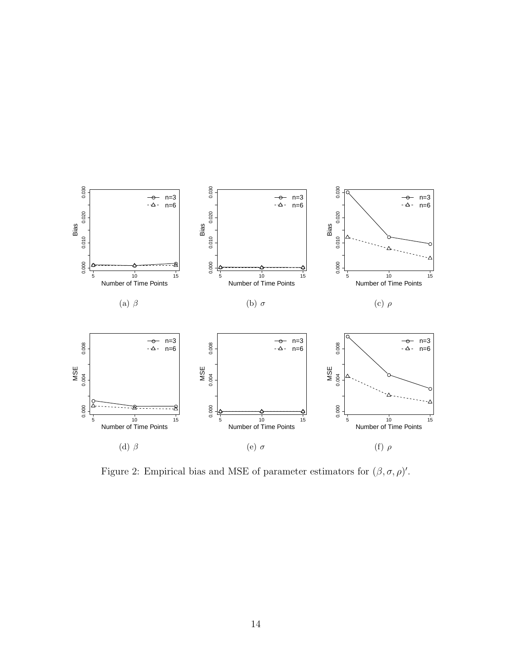

Figure 2: Empirical bias and MSE of parameter estimators for  $(\beta, \sigma, \rho)'$ .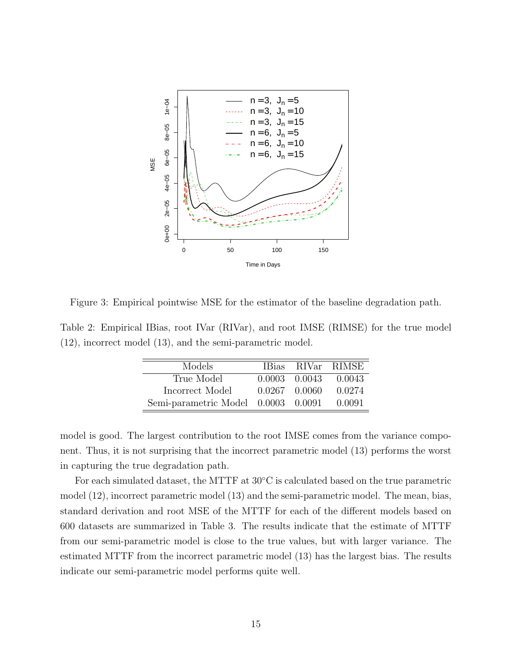

Figure 3: Empirical pointwise MSE for the estimator of the baseline degradation path.

Table 2: Empirical IBias, root IVar (RIVar), and root IMSE (RIMSE) for the true model (12), incorrect model (13), and the semi-parametric model.

| Models                              |                   | IBias RIVar RIMSE |
|-------------------------------------|-------------------|-------------------|
| True Model                          | $0.0003$ $0.0043$ | - 0.0043          |
| Incorrect Model                     | $0.0267$ $0.0060$ | 0.0274            |
| Semi-parametric Model 0.0003 0.0091 |                   | 0.0091            |

model is good. The largest contribution to the root IMSE comes from the variance component. Thus, it is not surprising that the incorrect parametric model (13) performs the worst in capturing the true degradation path.

For each simulated dataset, the MTTF at 30◦C is calculated based on the true parametric model (12), incorrect parametric model (13) and the semi-parametric model. The mean, bias, standard derivation and root MSE of the MTTF for each of the different models based on 600 datasets are summarized in Table 3. The results indicate that the estimate of MTTF from our semi-parametric model is close to the true values, but with larger variance. The estimated MTTF from the incorrect parametric model (13) has the largest bias. The results indicate our semi-parametric model performs quite well.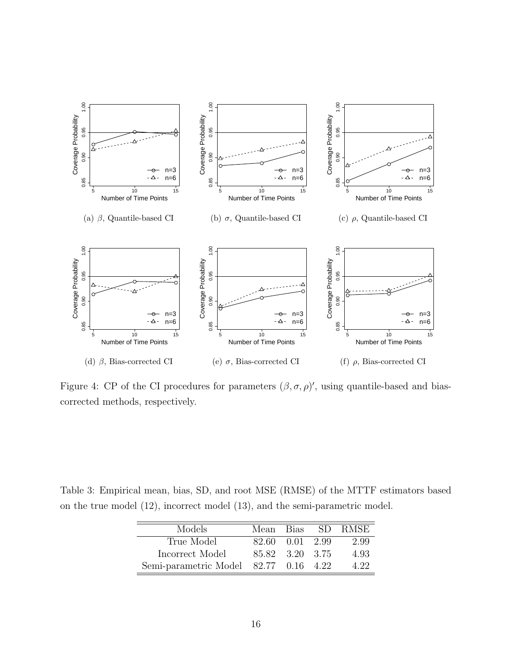

Figure 4: CP of the CI procedures for parameters  $(\beta, \sigma, \rho)'$ , using quantile-based and biascorrected methods, respectively.

Table 3: Empirical mean, bias, SD, and root MSE (RMSE) of the MTTF estimators based on the true model (12), incorrect model (13), and the semi-parametric model.

|  | SD RMSE                                                                                  |
|--|------------------------------------------------------------------------------------------|
|  | 2.99                                                                                     |
|  | 4.93                                                                                     |
|  | 4.22                                                                                     |
|  | Mean Bias<br>82.60 0.01 2.99<br>85.82 3.20 3.75<br>Semi-parametric Model 82.77 0.16 4.22 |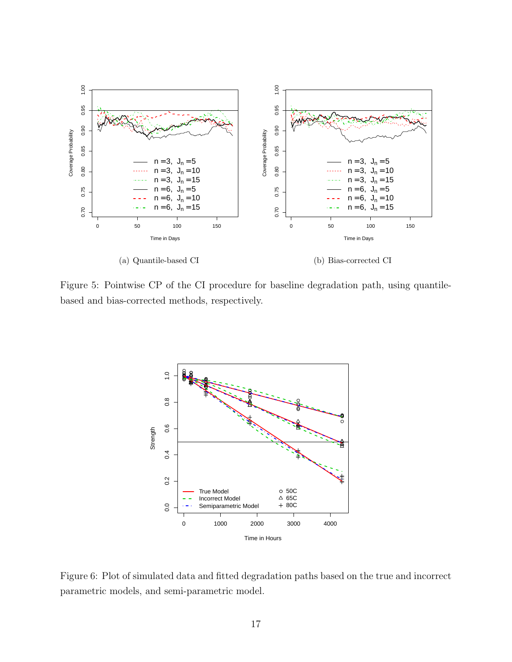

Figure 5: Pointwise CP of the CI procedure for baseline degradation path, using quantilebased and bias-corrected methods, respectively.



Figure 6: Plot of simulated data and fitted degradation paths based on the true and incorrect parametric models, and semi-parametric model.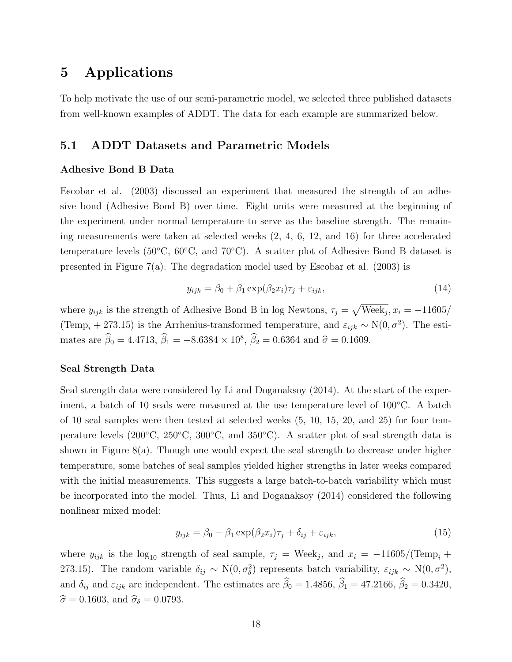# 5 Applications

To help motivate the use of our semi-parametric model, we selected three published datasets from well-known examples of ADDT. The data for each example are summarized below.

### 5.1 ADDT Datasets and Parametric Models

#### Adhesive Bond B Data

Escobar et al. (2003) discussed an experiment that measured the strength of an adhesive bond (Adhesive Bond B) over time. Eight units were measured at the beginning of the experiment under normal temperature to serve as the baseline strength. The remaining measurements were taken at selected weeks (2, 4, 6, 12, and 16) for three accelerated temperature levels (50◦C, 60◦C, and 70◦C). A scatter plot of Adhesive Bond B dataset is presented in Figure 7(a). The degradation model used by Escobar et al. (2003) is

$$
y_{ijk} = \beta_0 + \beta_1 \exp(\beta_2 x_i)\tau_j + \varepsilon_{ijk},\tag{14}
$$

where  $y_{ijk}$  is the strength of Adhesive Bond B in log Newtons,  $\tau_j = \sqrt{\text{Weak}_j}$ ,  $x_i = -11605/$ (Temp<sub>i</sub> + 273.15) is the Arrhenius-transformed temperature, and  $\varepsilon_{ijk} \sim N(0, \sigma^2)$ . The estimates are  $\hat{\beta}_0 = 4.4713$ ,  $\hat{\beta}_1 = -8.6384 \times 10^8$ ,  $\hat{\beta}_2 = 0.6364$  and  $\hat{\sigma} = 0.1609$ .

#### Seal Strength Data

Seal strength data were considered by Li and Doganaksoy (2014). At the start of the experiment, a batch of 10 seals were measured at the use temperature level of 100◦C. A batch of 10 seal samples were then tested at selected weeks (5, 10, 15, 20, and 25) for four temperature levels (200°C, 250°C, 300°C, and 350°C). A scatter plot of seal strength data is shown in Figure 8(a). Though one would expect the seal strength to decrease under higher temperature, some batches of seal samples yielded higher strengths in later weeks compared with the initial measurements. This suggests a large batch-to-batch variability which must be incorporated into the model. Thus, Li and Doganaksoy (2014) considered the following nonlinear mixed model:

$$
y_{ijk} = \beta_0 - \beta_1 \exp(\beta_2 x_i)\tau_j + \delta_{ij} + \varepsilon_{ijk},\tag{15}
$$

where  $y_{ijk}$  is the log<sub>10</sub> strength of seal sample,  $\tau_j = \text{Week}_j$ , and  $x_i = -11605/(\text{Temp}_i + \text{Temp}_i)$ 273.15). The random variable  $\delta_{ij} \sim N(0, \sigma_{\delta}^2)$  represents batch variability,  $\varepsilon_{ijk} \sim N(0, \sigma^2)$ , and  $\delta_{ij}$  and  $\varepsilon_{ijk}$  are independent. The estimates are  $\hat{\beta}_0 = 1.4856$ ,  $\hat{\beta}_1 = 47.2166$ ,  $\hat{\beta}_2 = 0.3420$ ,  $\hat{\sigma} = 0.1603$ , and  $\hat{\sigma}_{\delta} = 0.0793$ .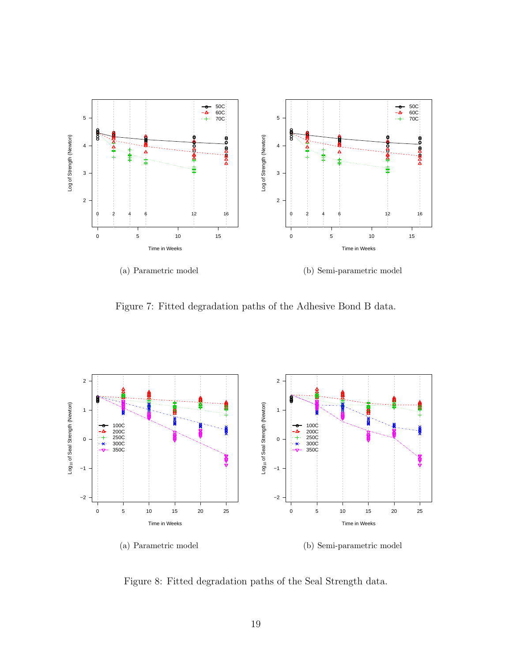

Figure 7: Fitted degradation paths of the Adhesive Bond B data.



Figure 8: Fitted degradation paths of the Seal Strength data.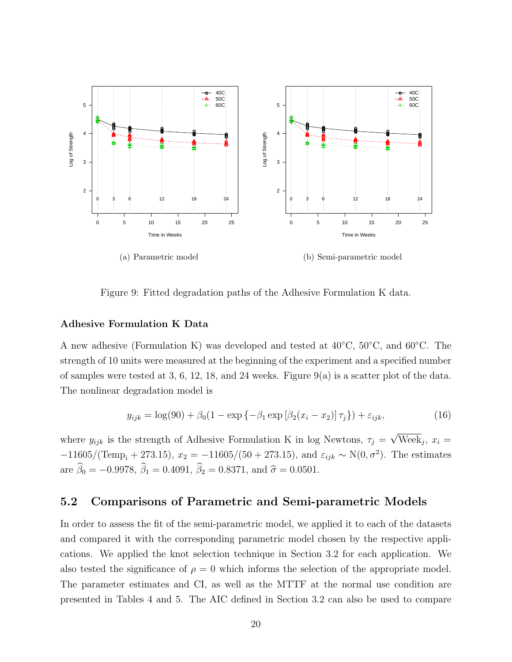

Figure 9: Fitted degradation paths of the Adhesive Formulation K data.

#### Adhesive Formulation K Data

A new adhesive (Formulation K) was developed and tested at 40◦C, 50◦C, and 60◦C. The strength of 10 units were measured at the beginning of the experiment and a specified number of samples were tested at 3, 6, 12, 18, and 24 weeks. Figure 9(a) is a scatter plot of the data. The nonlinear degradation model is

$$
y_{ijk} = \log(90) + \beta_0 (1 - \exp\{-\beta_1 \exp\left[\beta_2 (x_i - x_2)\right] \tau_j\}) + \varepsilon_{ijk},\tag{16}
$$

where  $y_{ijk}$  is the strength of Adhesive Formulation K in log Newtons,  $\tau_j =$ √ Week<sub>j</sub>,  $x_i =$  $-11605/(\text{Temp}_i + 273.15), x_2 = -11605/(50 + 273.15), \text{ and } \varepsilon_{ijk} \sim N(0, \sigma^2).$  The estimates are  $\hat{\beta}_0 = -0.9978$ ,  $\hat{\beta}_1 = 0.4091$ ,  $\hat{\beta}_2 = 0.8371$ , and  $\hat{\sigma} = 0.0501$ .

## 5.2 Comparisons of Parametric and Semi-parametric Models

In order to assess the fit of the semi-parametric model, we applied it to each of the datasets and compared it with the corresponding parametric model chosen by the respective applications. We applied the knot selection technique in Section 3.2 for each application. We also tested the significance of  $\rho = 0$  which informs the selection of the appropriate model. The parameter estimates and CI, as well as the MTTF at the normal use condition are presented in Tables 4 and 5. The AIC defined in Section 3.2 can also be used to compare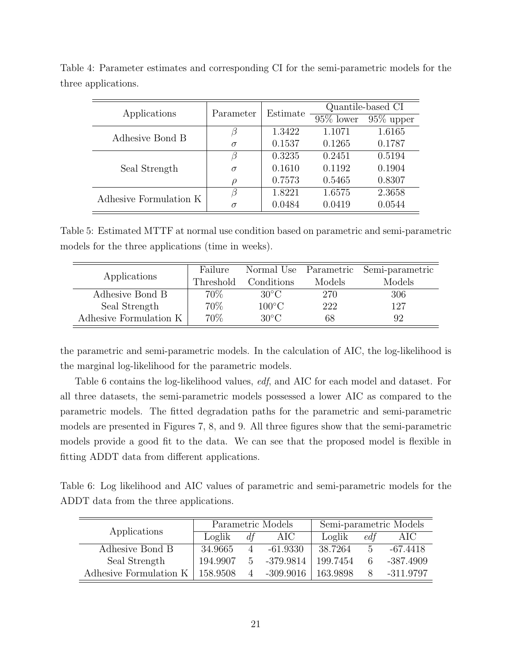| Applications           | Parameter | Estimate | Quantile-based CI |              |  |
|------------------------|-----------|----------|-------------------|--------------|--|
|                        |           |          | $95\%$ lower      | $95\%$ upper |  |
| Adhesive Bond B        |           | 1.3422   | 1.1071            | 1.6165       |  |
|                        | $\sigma$  | 0.1537   | 0.1265            | 0.1787       |  |
| Seal Strength          |           | 0.3235   | 0.2451            | 0.5194       |  |
|                        | $\sigma$  | 0.1610   | 0.1192            | 0.1904       |  |
|                        | $\rho$    | 0.7573   | 0.5465            | 0.8307       |  |
| Adhesive Formulation K |           | 1.8221   | 1.6575            | 2.3658       |  |
|                        | $\sigma$  | 0.0484   | 0.0419            | 0.0544       |  |

Table 4: Parameter estimates and corresponding CI for the semi-parametric models for the three applications.

Table 5: Estimated MTTF at normal use condition based on parametric and semi-parametric models for the three applications (time in weeks).

| Applications           | Failure   |                 |        | Normal Use Parametric Semi-parametric |
|------------------------|-----------|-----------------|--------|---------------------------------------|
|                        | Threshold | Conditions      | Models | Models                                |
| Adhesive Bond B        | 70\%      | $30^{\circ}$ C  | 270    | 306                                   |
| Seal Strength          | 70%       | $100^{\circ}$ C | 222    | 127                                   |
| Adhesive Formulation K | 70%       | $30^{\circ}$ C  | 68     | 92                                    |

the parametric and semi-parametric models. In the calculation of AIC, the log-likelihood is the marginal log-likelihood for the parametric models.

Table 6 contains the log-likelihood values, *edf*, and AIC for each model and dataset. For all three datasets, the semi-parametric models possessed a lower AIC as compared to the parametric models. The fitted degradation paths for the parametric and semi-parametric models are presented in Figures 7, 8, and 9. All three figures show that the semi-parametric models provide a good fit to the data. We can see that the proposed model is flexible in fitting ADDT data from different applications.

Table 6: Log likelihood and AIC values of parametric and semi-parametric models for the ADDT data from the three applications.

| Applications           | Parametric Models |    |             | Semi-parametric Models |     |             |
|------------------------|-------------------|----|-------------|------------------------|-----|-------------|
|                        | Loglik            | df | AIC         | Loglik                 | edf | AIC -       |
| Adhesive Bond B        | 34.9665           | 4  | $-61.9330$  | 38.7264                | 5   | $-67.4418$  |
| Seal Strength          | 194.9907          | 5  | $-379.9814$ | 199.7454               | 6   | $-387.4909$ |
| Adhesive Formulation K | 158.9508          | 4  | $-309.9016$ | 163.9898               |     | -311.9797   |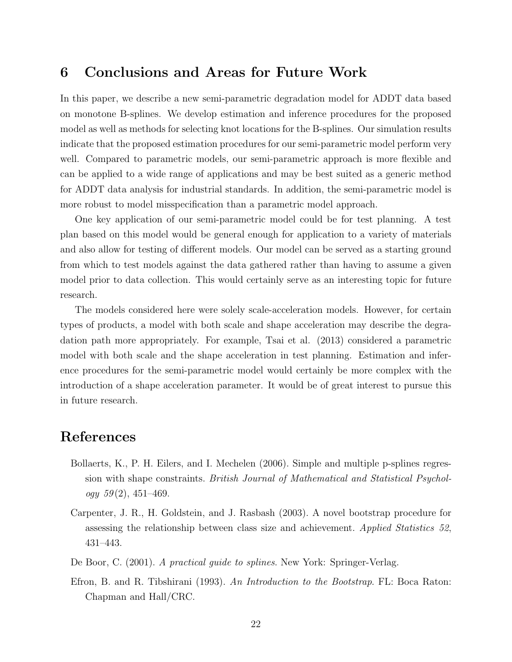# 6 Conclusions and Areas for Future Work

In this paper, we describe a new semi-parametric degradation model for ADDT data based on monotone B-splines. We develop estimation and inference procedures for the proposed model as well as methods for selecting knot locations for the B-splines. Our simulation results indicate that the proposed estimation procedures for our semi-parametric model perform very well. Compared to parametric models, our semi-parametric approach is more flexible and can be applied to a wide range of applications and may be best suited as a generic method for ADDT data analysis for industrial standards. In addition, the semi-parametric model is more robust to model misspecification than a parametric model approach.

One key application of our semi-parametric model could be for test planning. A test plan based on this model would be general enough for application to a variety of materials and also allow for testing of different models. Our model can be served as a starting ground from which to test models against the data gathered rather than having to assume a given model prior to data collection. This would certainly serve as an interesting topic for future research.

The models considered here were solely scale-acceleration models. However, for certain types of products, a model with both scale and shape acceleration may describe the degradation path more appropriately. For example, Tsai et al. (2013) considered a parametric model with both scale and the shape acceleration in test planning. Estimation and inference procedures for the semi-parametric model would certainly be more complex with the introduction of a shape acceleration parameter. It would be of great interest to pursue this in future research.

# References

- Bollaerts, K., P. H. Eilers, and I. Mechelen (2006). Simple and multiple p-splines regression with shape constraints. British Journal of Mathematical and Statistical Psychol $ogy 59(2), 451-469.$
- Carpenter, J. R., H. Goldstein, and J. Rasbash (2003). A novel bootstrap procedure for assessing the relationship between class size and achievement. Applied Statistics 52, 431–443.
- De Boor, C. (2001). A practical quide to splines. New York: Springer-Verlag.
- Efron, B. and R. Tibshirani (1993). An Introduction to the Bootstrap. FL: Boca Raton: Chapman and Hall/CRC.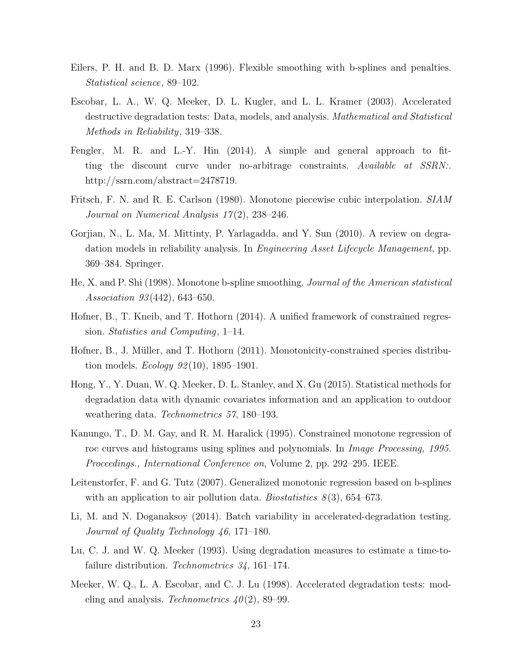- Eilers, P. H. and B. D. Marx (1996). Flexible smoothing with b-splines and penalties. Statistical science, 89–102.
- Escobar, L. A., W. Q. Meeker, D. L. Kugler, and L. L. Kramer (2003). Accelerated destructive degradation tests: Data, models, and analysis. Mathematical and Statistical Methods in Reliability, 319–338.
- Fengler, M. R. and L.-Y. Hin (2014). A simple and general approach to fitting the discount curve under no-arbitrage constraints. Available at SSRN: http://ssrn.com/abstract=2478719.
- Fritsch, F. N. and R. E. Carlson (1980). Monotone piecewise cubic interpolation. SIAM Journal on Numerical Analysis 17 (2), 238–246.
- Gorjian, N., L. Ma, M. Mittinty, P. Yarlagadda, and Y. Sun (2010). A review on degradation models in reliability analysis. In Engineering Asset Lifecycle Management, pp. 369–384. Springer.
- He, X. and P. Shi (1998). Monotone b-spline smoothing. Journal of the American statistical Association 93 (442), 643–650.
- Hofner, B., T. Kneib, and T. Hothorn (2014). A unified framework of constrained regression. Statistics and Computing, 1–14.
- Hofner, B., J. Müller, and T. Hothorn (2011). Monotonicity-constrained species distribution models. *Ecology*  $92(10)$ , 1895–1901.
- Hong, Y., Y. Duan, W. Q. Meeker, D. L. Stanley, and X. Gu (2015). Statistical methods for degradation data with dynamic covariates information and an application to outdoor weathering data. Technometrics 57, 180–193.
- Kanungo, T., D. M. Gay, and R. M. Haralick (1995). Constrained monotone regression of roc curves and histograms using splines and polynomials. In Image Processing, 1995. Proceedings., International Conference on, Volume 2, pp. 292–295. IEEE.
- Leitenstorfer, F. and G. Tutz (2007). Generalized monotonic regression based on b-splines with an application to air pollution data. *Biostatistics*  $8(3)$ , 654–673.
- Li, M. and N. Doganaksoy (2014). Batch variability in accelerated-degradation testing. Journal of Quality Technology 46, 171–180.
- Lu, C. J. and W. Q. Meeker (1993). Using degradation measures to estimate a time-tofailure distribution. *Technometrics* 34, 161–174.
- Meeker, W. Q., L. A. Escobar, and C. J. Lu (1998). Accelerated degradation tests: modeling and analysis. Technometrics  $40(2)$ , 89–99.